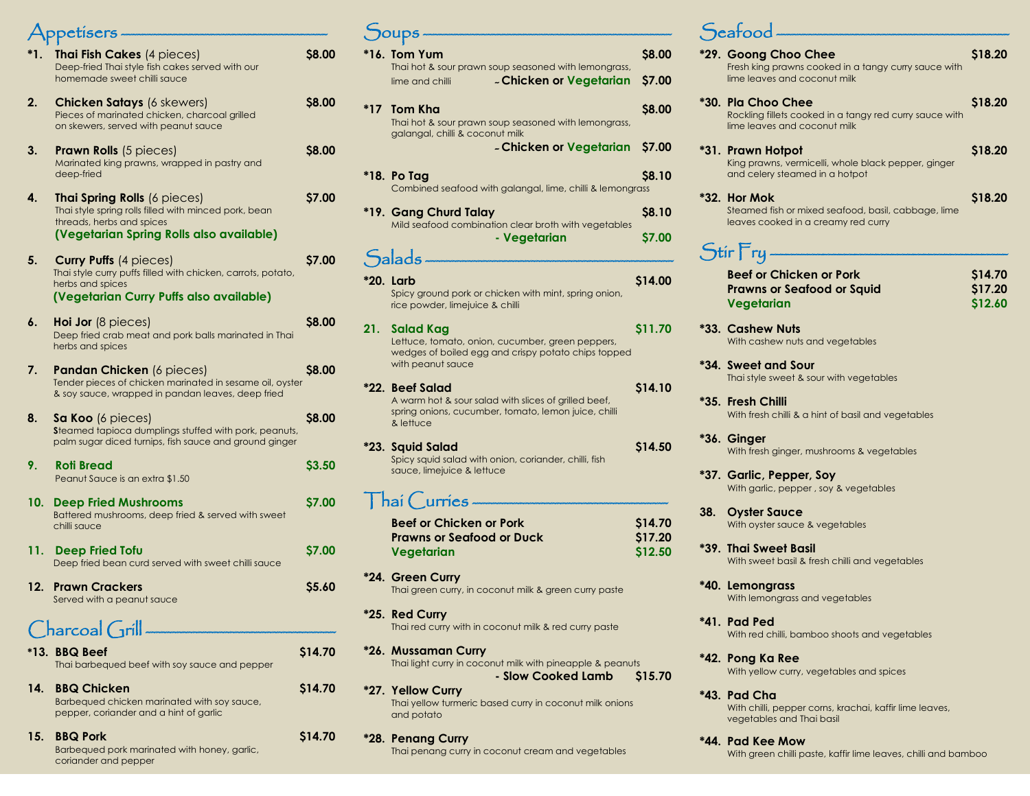|     | Appetisers —                                                                                                                                                   |              |
|-----|----------------------------------------------------------------------------------------------------------------------------------------------------------------|--------------|
| *1. | Thai Fish Cakes (4 pieces)<br>Deep-fried Thai style fish cakes served with our<br>homemade sweet chilli sauce                                                  | S8.00        |
| 2.  | <b>Chicken Satays (6 skewers)</b><br>Pieces of marinated chicken, charcoal grilled<br>on skewers, served with peanut sauce                                     | \$8.00       |
| 3.  | <b>Prawn Rolls</b> (5 pieces)<br>Marinated king prawns, wrapped in pastry and<br>deep-fried                                                                    | \$8.00       |
| 4.  | Thai Spring Rolls (6 pieces)<br>Thai style spring rolls filled with minced pork, bean<br>threads, herbs and spices<br>(Vegetarian Spring Rolls also available) | \$7.00       |
| 5.  | <b>Curry Puffs (4 pieces)</b><br>Thai style curry puffs filled with chicken, carrots, potato,<br>herbs and spices<br>(Vegetarian Curry Puffs also available)   | \$7.00       |
| 6.  | <b>Hoi Jor</b> (8 pieces)<br>Deep fried crab meat and pork balls marinated in Thai<br>herbs and spices                                                         | S8.00        |
| 7.  | <b>Pandan Chicken</b> (6 pieces)<br>Tender pieces of chicken marinated in sesame oil, oyster<br>& soy sauce, wrapped in pandan leaves, deep fried              | S8.00        |
| 8.  | <b>Sa Koo</b> (6 pieces)<br>Steamed tapioca dumplings stuffed with pork, peanuts,<br>palm sugar diced turnips, fish sauce and ground ginger                    | S8.00        |
| 9.  | <b>Roti Bread</b><br>Peanut Sauce is an extra \$1.50                                                                                                           | \$3.50       |
| 10. | <b>Deep Fried Mushrooms</b><br>Battered mushrooms, deep fried & served with sweet<br>chilli sauce                                                              | \$7.00       |
| 11. | <b>Deep Fried Tofu</b><br>Deep fried bean curd served with sweet chilli sauce                                                                                  | <b>S7.00</b> |
| 12. | <b>Prawn Crackers</b><br>Served with a peanut sauce                                                                                                            | S5.60        |
|     |                                                                                                                                                                |              |

#### $Charcoal$   $Grill$

coriander and pepper

|     | *13. BBQ Beef<br>Thai barbequed beef with soy sauce and pepper                                              | \$14.70 |
|-----|-------------------------------------------------------------------------------------------------------------|---------|
| 14. | <b>BBQ Chicken</b><br>Barbequed chicken marinated with soy sauce,<br>pepper, coriander and a hint of garlic | \$14.70 |
|     | 15. BBQ Pork<br>Barbequed pork marinated with honey, garlic,                                                | \$14.70 |

|     | Soups.                                                                                                                                        |                               |
|-----|-----------------------------------------------------------------------------------------------------------------------------------------------|-------------------------------|
|     | *16. Tom Yum<br>Thai hot & sour prawn soup seasoned with lemongrass,<br>- Chicken or Vegetarian<br>lime and chilli                            | \$8.00<br>\$7.00              |
| *17 | <b>Tom Kha</b><br>Thai hot & sour prawn soup seasoned with lemongrass,<br>galangal, chilli & coconut milk                                     | <b>S8.00</b>                  |
|     | - Chicken or Vegetarian                                                                                                                       | \$7.00                        |
|     | *18. Po Tag<br>Combined seafood with galangal, lime, chilli & lemongrass                                                                      | \$8.10                        |
|     | *19. Gang Churd Talay                                                                                                                         | \$8.10                        |
|     | Mild seafood combination clear broth with vegetables<br>- Vegetarian                                                                          | \$7.00                        |
|     | $S$ alads —————                                                                                                                               |                               |
|     | *20. Larb<br>Spicy ground pork or chicken with mint, spring onion,<br>rice powder, limejuice & chilli                                         | \$14.00                       |
| 21. | Salad Kag<br>Lettuce, tomato, onion, cucumber, green peppers,<br>wedges of boiled egg and crispy potato chips topped<br>with peanut sauce     | \$11.70                       |
|     | *22.  Beef Salad<br>A warm hot & sour salad with slices of grilled beef,<br>spring onions, cucumber, tomato, lemon juice, chilli<br>& lettuce | \$14.10                       |
|     | *23. Squid Salad<br>Spicy squid salad with onion, coriander, chilli, fish<br>sauce, limejuice & lettuce                                       | \$14.50                       |
|     | Thai Curries                                                                                                                                  |                               |
|     | <b>Beef or Chicken or Pork</b><br><b>Prawns or Seafood or Duck</b><br>Vegetarian                                                              | \$14.70<br>\$17.20<br>\$12.50 |
|     | *24. Green Curry<br>Thai green curry, in coconut milk & green curry paste                                                                     |                               |

**\*25. Red Curry** Thai red curry with in coconut milk & red curry paste

- **\*26. Mussaman Curry** Thai light curry in coconut milk with pineapple & peanuts **- Slow Cooked Lamb \$15.70**
- **\*27. Yellow Curry** Thai yellow turmeric based curry in coconut milk onions and potato
- **\*28. Penang Curry** Thai penang curry in coconut cream and vegetables

## Seafood

|     | *29. Goong Choo Chee<br>Fresh king prawns cooked in a tangy curry sauce with<br>lime leaves and coconut milk  | \$18.20                       |
|-----|---------------------------------------------------------------------------------------------------------------|-------------------------------|
|     | *30. Pla Choo Chee<br>Rockling fillets cooked in a tangy red curry sauce with<br>lime leaves and coconut milk | \$18.20                       |
|     | *31. Prawn Hotpot<br>King prawns, vermicelli, whole black pepper, ginger<br>and celery steamed in a hotpot    | \$18.20                       |
|     | *32. Hor Mok<br>Steamed fish or mixed seafood, basil, cabbage, lime<br>leaves cooked in a creamy red curry    | \$18.20                       |
|     | $\mathsf{Stir} \mathsf{Fry} \cdot$                                                                            |                               |
|     | <b>Beef or Chicken or Pork</b><br><b>Prawns or Seafood or Squid</b><br>Vegetarian                             | \$14.70<br>\$17.20<br>\$12.60 |
|     | *33. Cashew Nuts<br>With cashew nuts and vegetables                                                           |                               |
|     | *34. Sweet and Sour<br>Thai style sweet & sour with vegetables                                                |                               |
|     | *35.  Fresh Chilli<br>With fresh chilli & a hint of basil and vegetables                                      |                               |
|     | *36. Ginger<br>With fresh ginger, mushrooms & vegetables                                                      |                               |
|     | *37. Garlic, Pepper, Soy<br>With garlic, pepper, soy & vegetables                                             |                               |
| 38. | <b>Oyster Sauce</b><br>With oyster sauce & vegetables                                                         |                               |
|     | *39. Thai Sweet Basil<br>With sweet basil & fresh chilli and vegetables                                       |                               |
|     | *40. Lemongrass<br>With lemongrass and vegetables                                                             |                               |
|     | *41. Pad Ped<br>With red chilli, bamboo shoots and vegetables                                                 |                               |
|     | *42. Pong Ka Ree<br>With yellow curry, vegetables and spices                                                  |                               |
|     | *43. Pad Cha                                                                                                  |                               |

With chilli, pepper corns, krachai, kaffir lime leaves, vegetables and Thai basil

**\*44. Pad Kee Mow** With green chilli paste, kaffir lime leaves, chilli and bamboo